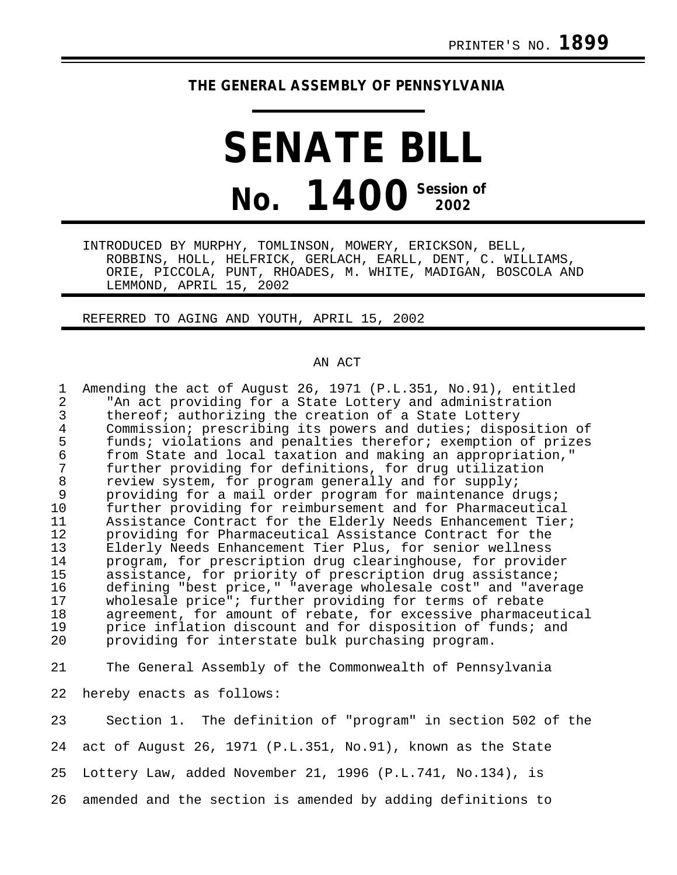## **THE GENERAL ASSEMBLY OF PENNSYLVANIA**

# **SENATE BILL No. 1400 Session of 2002**

INTRODUCED BY MURPHY, TOMLINSON, MOWERY, ERICKSON, BELL, ROBBINS, HOLL, HELFRICK, GERLACH, EARLL, DENT, C. WILLIAMS, ORIE, PICCOLA, PUNT, RHOADES, M. WHITE, MADIGAN, BOSCOLA AND LEMMOND, APRIL 15, 2002

### REFERRED TO AGING AND YOUTH, APRIL 15, 2002

#### AN ACT

1 Amending the act of August 26, 1971 (P.L.351, No.91), entitled<br>2 TAn act providing for a State Lottery and administration 2 The act providing for a State Lottery and administration<br>3 thereof; authorizing the creation of a State Lottery 3 thereof; authorizing the creation of a State Lottery<br>4 Commission; prescribing its powers and duties; dispo: 4 Commission; prescribing its powers and duties; disposition of<br>5 funds; violations and penalties therefor; exemption of prizes 5 funds; violations and penalties therefor; exemption of prizes<br>6 from State and local taxation and making an appropriation." 6 from State and local taxation and making an appropriation," 7 further providing for definitions, for drug utilization<br>8 review system, for program generally and for supply; 8 review system, for program generally and for supply;<br>9 providing for a mail order program for maintenance d 9 providing for a mail order program for maintenance drugs;<br>10 further providing for reimbursement and for Pharmaceutica 10 further providing for reimbursement and for Pharmaceutical 11 Assistance Contract for the Elderly Needs Enhancement Tier; 12 providing for Pharmaceutical Assistance Contract for the<br>13 Elderly Needs Enhancement Tier Plus, for senior wellness 13 Elderly Needs Enhancement Tier Plus, for senior wellness<br>14 Drogram, for prescription drug clearinghouse, for provid 14 program, for prescription drug clearinghouse, for provider<br>15 assistance, for priority of prescription drug assistance; 15 assistance, for priority of prescription drug assistance;<br>16 defining "best price," "average wholesale cost" and "aver 16 defining "best price," "average wholesale cost" and "average<br>17 wholesale price"; further providing for terms of rebate 17 wholesale price"; further providing for terms of rebate<br>18 agreement, for amount of rebate, for excessive pharmace 18 agreement, for amount of rebate, for excessive pharmaceutical<br>19 price inflation discount and for disposition of funds; and 19 price inflation discount and for disposition of funds; and<br>20 providing for interstate bulk purchasing program. providing for interstate bulk purchasing program.

21 The General Assembly of the Commonwealth of Pennsylvania

22 hereby enacts as follows:

23 Section 1. The definition of "program" in section 502 of the 24 act of August 26, 1971 (P.L.351, No.91), known as the State 25 Lottery Law, added November 21, 1996 (P.L.741, No.134), is 26 amended and the section is amended by adding definitions to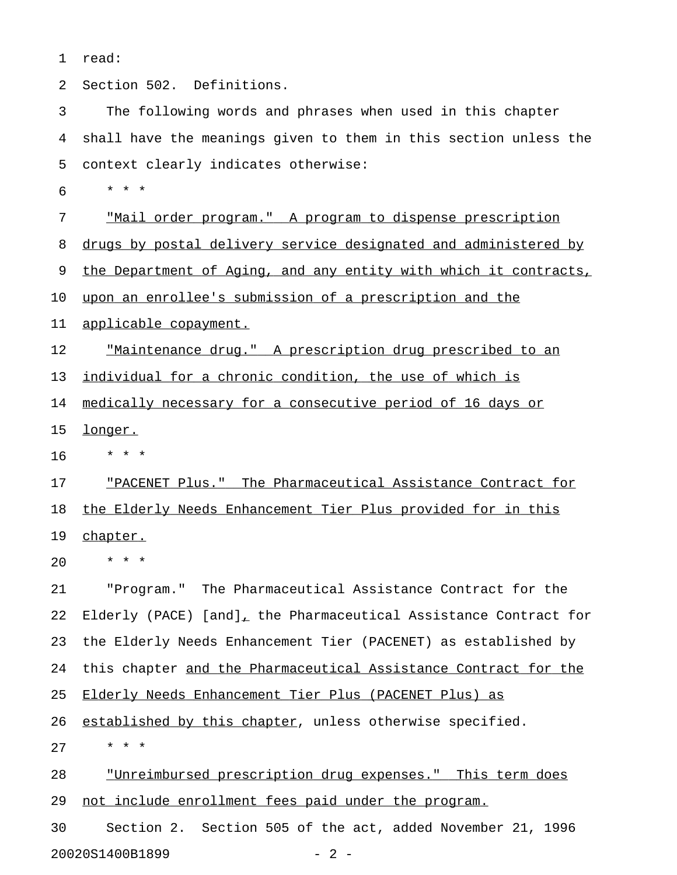1 read:

2 Section 502. Definitions.

3 The following words and phrases when used in this chapter 4 shall have the meanings given to them in this section unless the 5 context clearly indicates otherwise:

6 \* \* \*

7 "Mail order program." A program to dispense prescription

8 drugs by postal delivery service designated and administered by

9 the Department of Aging, and any entity with which it contracts,

10 upon an enrollee's submission of a prescription and the

11 applicable copayment.

12 The <u>"Maintenance drug."</u> A prescription drug prescribed to an 13 individual for a chronic condition, the use of which is

14 medically necessary for a consecutive period of 16 days or

15 longer.

16 \* \* \*

17 FRACENET Plus." The Pharmaceutical Assistance Contract for 18 the Elderly Needs Enhancement Tier Plus provided for in this 19 chapter.

20 \* \* \*

21 "Program." The Pharmaceutical Assistance Contract for the 22 Elderly (PACE) [and], the Pharmaceutical Assistance Contract for 23 the Elderly Needs Enhancement Tier (PACENET) as established by 24 this chapter and the Pharmaceutical Assistance Contract for the 25 Elderly Needs Enhancement Tier Plus (PACENET Plus) as 26 established by this chapter, unless otherwise specified. 27 \* \* \*

28 "Unreimbursed prescription drug expenses." This term does 29 not include enrollment fees paid under the program.

30 Section 2. Section 505 of the act, added November 21, 1996 20020S1400B1899 - 2 -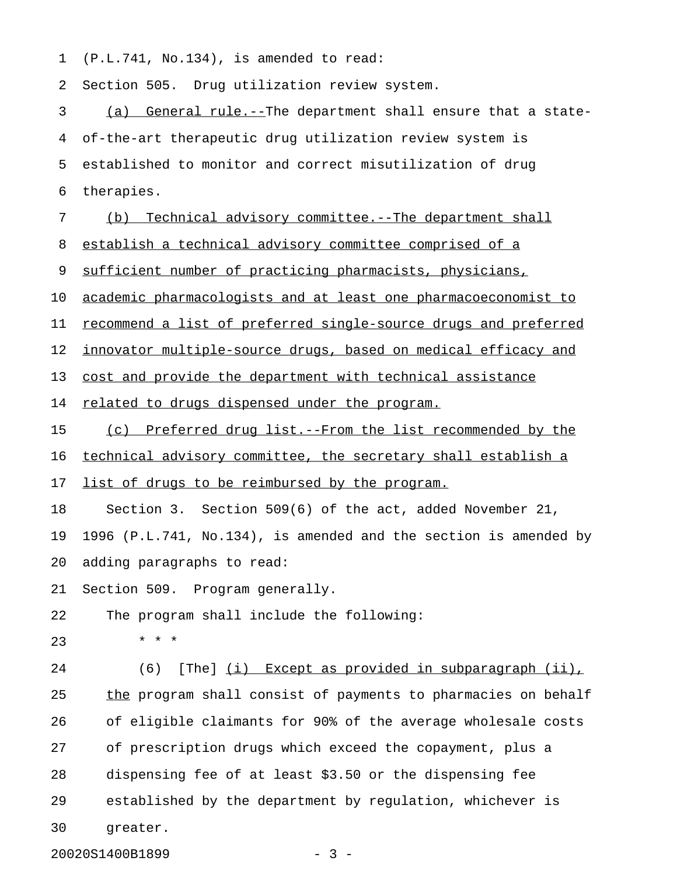1 (P.L.741, No.134), is amended to read:

2 Section 505. Drug utilization review system.

3 (a) General rule.--The department shall ensure that a state-4 of-the-art therapeutic drug utilization review system is 5 established to monitor and correct misutilization of drug 6 therapies. 7 (b) Technical advisory committee.--The department shall 8 establish a technical advisory committee comprised of a 9 sufficient number of practicing pharmacists, physicians, 10 academic pharmacologists and at least one pharmacoeconomist to 11 recommend a list of preferred single-source drugs and preferred 12 innovator multiple-source drugs, based on medical efficacy and 13 cost and provide the department with technical assistance 14 related to drugs dispensed under the program. 15 (c) Preferred drug list.--From the list recommended by the 16 technical advisory committee, the secretary shall establish a 17 list of drugs to be reimbursed by the program. 18 Section 3. Section 509(6) of the act, added November 21, 19 1996 (P.L.741, No.134), is amended and the section is amended by 20 adding paragraphs to read: 21 Section 509. Program generally. 22 The program shall include the following:  $23 \times * * *$ 24 (6) [The] (i) Except as provided in subparagraph (ii), 25 the program shall consist of payments to pharmacies on behalf 26 of eligible claimants for 90% of the average wholesale costs 27 of prescription drugs which exceed the copayment, plus a 28 dispensing fee of at least \$3.50 or the dispensing fee 29 established by the department by regulation, whichever is 30 greater.

20020S1400B1899 - 3 -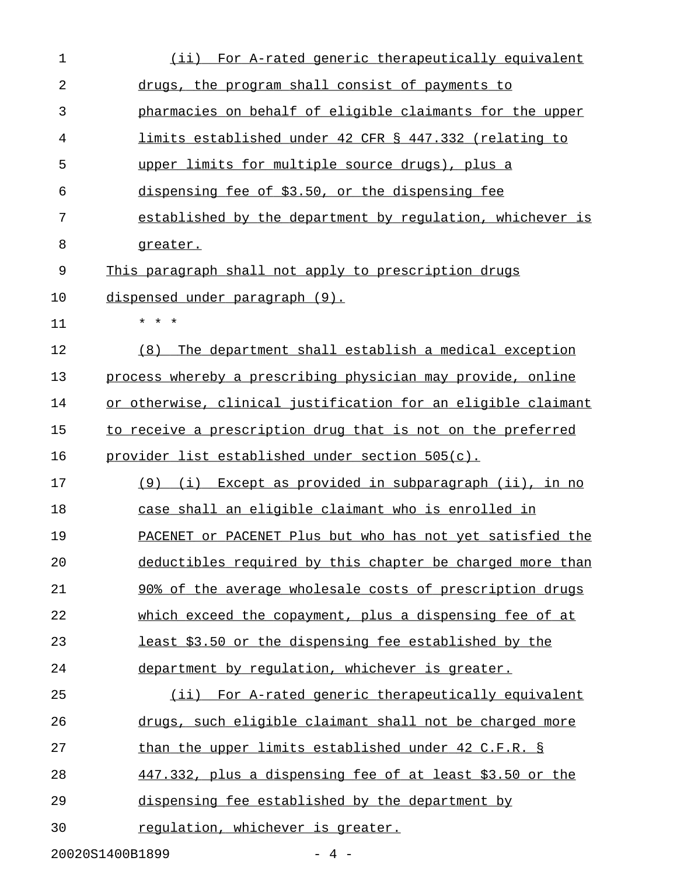| $\mathbf 1$ | For A-rated generic therapeutically equivalent<br>(iii)       |
|-------------|---------------------------------------------------------------|
| 2           | drugs, the program shall consist of payments to               |
| 3           | pharmacies on behalf of eligible claimants for the upper      |
| 4           | limits established under 42 CFR § 447.332 (relating to        |
| 5           | upper limits for multiple source drugs), plus a               |
| 6           | dispensing fee of \$3.50, or the dispensing fee               |
| 7           | established by the department by regulation, whichever is     |
| 8           | greater.                                                      |
| 9           | This paragraph shall not apply to prescription drugs          |
| 10          | <u>dispensed under paragraph (9).</u>                         |
| 11          | $^\star$<br>*                                                 |
| 12          | The department shall establish a medical exception<br>(8)     |
| 13          | process whereby a prescribing physician may provide, online   |
| 14          | or otherwise, clinical justification for an eligible claimant |
| 15          | to receive a prescription drug that is not on the preferred   |
| 16          | <u>provider list established under section 505(c).</u>        |
| 17          | (i) Except as provided in subparagraph (ii), in no<br>(9)     |
| 18          | case shall an eligible claimant who is enrolled in            |
| 19          | PACENET or PACENET Plus but who has not yet satisfied the     |
| 20          | deductibles required by this chapter be charged more than     |
| 21          | 90% of the average wholesale costs of prescription drugs      |
| 22          | which exceed the copayment, plus a dispensing fee of at       |
| 23          | least \$3.50 or the dispensing fee established by the         |
| 24          | department by regulation, whichever is greater.               |
| 25          | (ii) For A-rated generic therapeutically equivalent           |
| 26          | drugs, such eligible claimant shall not be charged more       |
| 27          | than the upper limits established under 42 C.F.R. §           |
| 28          | 447.332, plus a dispensing fee of at least \$3.50 or the      |
| 29          | dispensing fee established by the department by               |
| 30          | regulation, whichever is greater.                             |
|             | 20020S1400B1899<br>$-4-$                                      |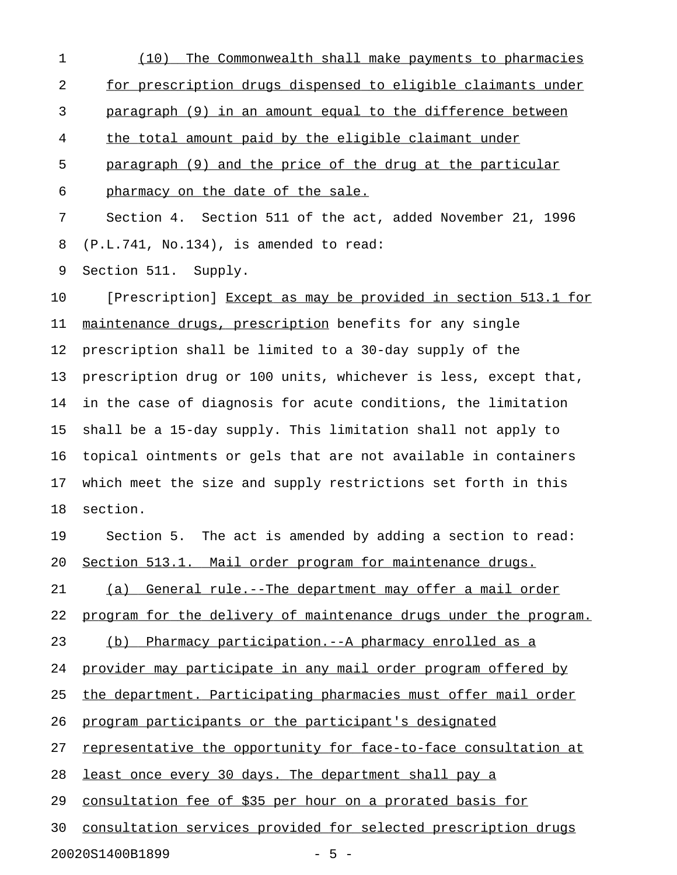1 (10) The Commonwealth shall make payments to pharmacies 2 for prescription drugs dispensed to eligible claimants under 3 paragraph (9) in an amount equal to the difference between 4 the total amount paid by the eligible claimant under 5 paragraph (9) and the price of the drug at the particular 6 pharmacy on the date of the sale. 7 Section 4. Section 511 of the act, added November 21, 1996 8 (P.L.741, No.134), is amended to read: 9 Section 511. Supply. 10 [Prescription] Except as may be provided in section 513.1 for 11 maintenance drugs, prescription benefits for any single 12 prescription shall be limited to a 30-day supply of the 13 prescription drug or 100 units, whichever is less, except that, 14 in the case of diagnosis for acute conditions, the limitation 15 shall be a 15-day supply. This limitation shall not apply to 16 topical ointments or gels that are not available in containers 17 which meet the size and supply restrictions set forth in this 18 section. 19 Section 5. The act is amended by adding a section to read: 20 Section 513.1. Mail order program for maintenance drugs. 21 (a) General rule.--The department may offer a mail order 22 program for the delivery of maintenance drugs under the program. 23 (b) Pharmacy participation.--A pharmacy enrolled as a 24 provider may participate in any mail order program offered by 25 the department. Participating pharmacies must offer mail order 26 program participants or the participant's designated 27 representative the opportunity for face-to-face consultation at 28 least once every 30 days. The department shall pay a 29 consultation fee of \$35 per hour on a prorated basis for 30 consultation services provided for selected prescription drugs

20020S1400B1899 - 5 -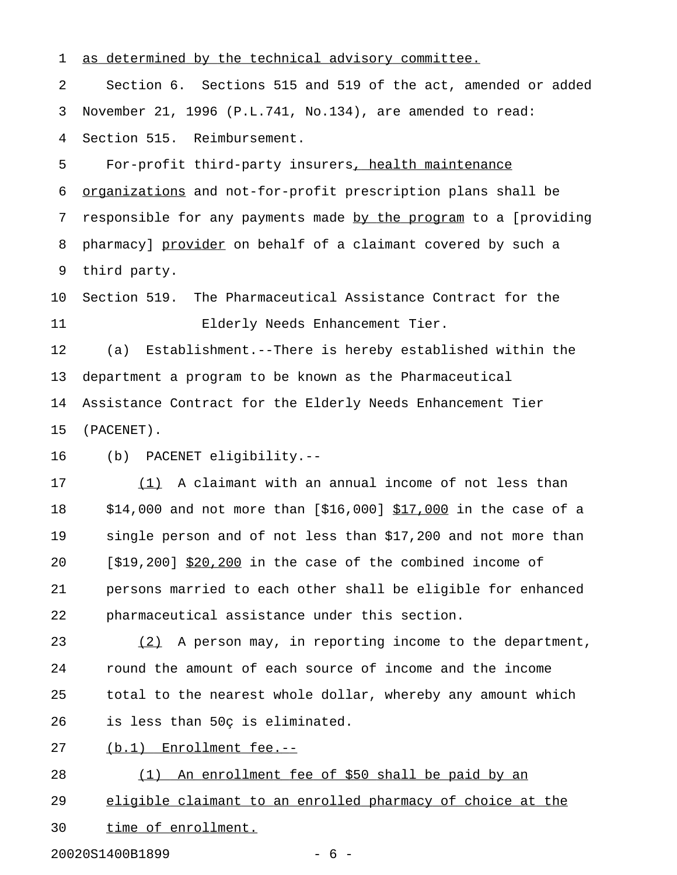1 as determined by the technical advisory committee.

2 Section 6. Sections 515 and 519 of the act, amended or added 3 November 21, 1996 (P.L.741, No.134), are amended to read: 4 Section 515. Reimbursement.

5 For-profit third-party insurers, health maintenance 6 organizations and not-for-profit prescription plans shall be 7 responsible for any payments made by the program to a [providing 8 pharmacy] provider on behalf of a claimant covered by such a 9 third party.

10 Section 519. The Pharmaceutical Assistance Contract for the 11 Elderly Needs Enhancement Tier.

12 (a) Establishment.--There is hereby established within the 13 department a program to be known as the Pharmaceutical 14 Assistance Contract for the Elderly Needs Enhancement Tier 15 (PACENET).

16 (b) PACENET eligibility.--

17 (1) A claimant with an annual income of not less than 18 \$14,000 and not more than [\$16,000] \$17,000 in the case of a 19 single person and of not less than \$17,200 and not more than 20  $[519,200]$  \$20,200 in the case of the combined income of 21 persons married to each other shall be eligible for enhanced 22 pharmaceutical assistance under this section.

23 (2) A person may, in reporting income to the department, 24 round the amount of each source of income and the income 25 total to the nearest whole dollar, whereby any amount which 26 is less than 50ç is eliminated.

27 (b.1) Enrollment fee.--

28 (1) An enrollment fee of \$50 shall be paid by an 29 eligible claimant to an enrolled pharmacy of choice at the 30 time of enrollment.

20020S1400B1899 - 6 -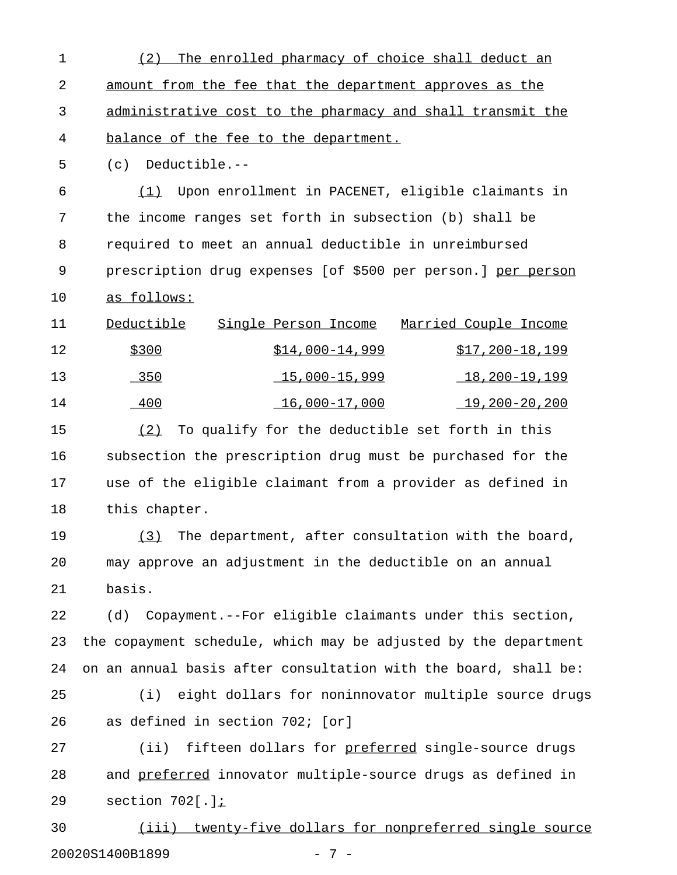1 (2) The enrolled pharmacy of choice shall deduct an 2 amount from the fee that the department approves as the 3 administrative cost to the pharmacy and shall transmit the 4 balance of the fee to the department. 5 (c) Deductible.-- 6 (1) Upon enrollment in PACENET, eligible claimants in \_\_\_ 7 the income ranges set forth in subsection (b) shall be 8 required to meet an annual deductible in unreimbursed 9 prescription drug expenses [of \$500 per person.] per person 10 as follows: 11 Deductible Single Person Income Married Couple Income  $\frac{$300}{$14,000-14,999}$   $\frac{$17,200-18,199}{18,199}$ 13 13 18,000-15,999 18,200-19,199 14 16,000-17,000 19,200-20,200 15 (2) To qualify for the deductible set forth in this 16 subsection the prescription drug must be purchased for the

17 use of the eligible claimant from a provider as defined in 18 this chapter.

19 (3) The department, after consultation with the board, 20 may approve an adjustment in the deductible on an annual 21 basis.

22 (d) Copayment.--For eligible claimants under this section, 23 the copayment schedule, which may be adjusted by the department 24 on an annual basis after consultation with the board, shall be:

25 (i) eight dollars for noninnovator multiple source drugs 26 as defined in section 702; [or]

27 (ii) fifteen dollars for preferred single-source drugs 28 and preferred innovator multiple-source drugs as defined in 29 section 702[.];\_

30 (iii) twenty-five dollars for nonpreferred single source 20020S1400B1899 - 7 -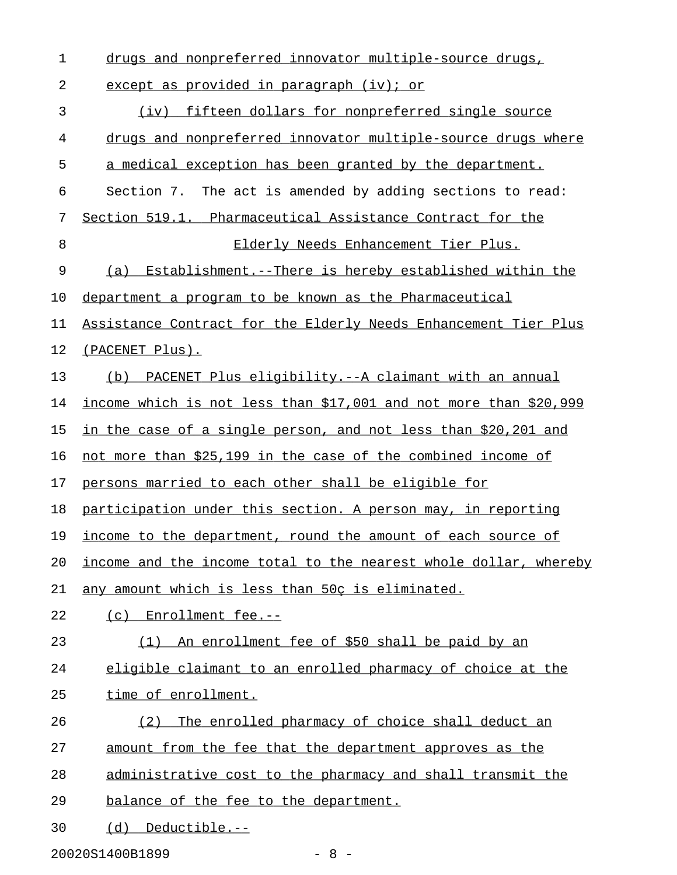1 drugs and nonpreferred innovator multiple-source drugs, 2 except as provided in paragraph (iv); or 3 (iv) fifteen dollars for nonpreferred single source 4 drugs and nonpreferred innovator multiple-source drugs where 5 a medical exception has been granted by the department. 6 Section 7. The act is amended by adding sections to read: 7 Section 519.1. Pharmaceutical Assistance Contract for the 8 Elderly Needs Enhancement Tier Plus. 9 (a) Establishment.--There is hereby established within the 10 department a program to be known as the Pharmaceutical 11 Assistance Contract for the Elderly Needs Enhancement Tier Plus 12 (PACENET Plus). 13 (b) PACENET Plus eligibility.--A claimant with an annual 14 income which is not less than \$17,001 and not more than \$20,999 15 in the case of a single person, and not less than \$20,201 and 16 not more than  $$25,199$  in the case of the combined income of 17 persons married to each other shall be eligible for 18 participation under this section. A person may, in reporting 19 income to the department, round the amount of each source of 20 income and the income total to the nearest whole dollar, whereby 21 any amount which is less than 50c is eliminated. 22 (c) Enrollment fee.--23 (1) An enrollment fee of \$50 shall be paid by an 24 eligible claimant to an enrolled pharmacy of choice at the 25 time of enrollment. 26 (2) The enrolled pharmacy of choice shall deduct an 27 amount from the fee that the department approves as the 28 administrative cost to the pharmacy and shall transmit the 29 balance of the fee to the department. 30 (d) Deductible.--

20020S1400B1899 - 8 -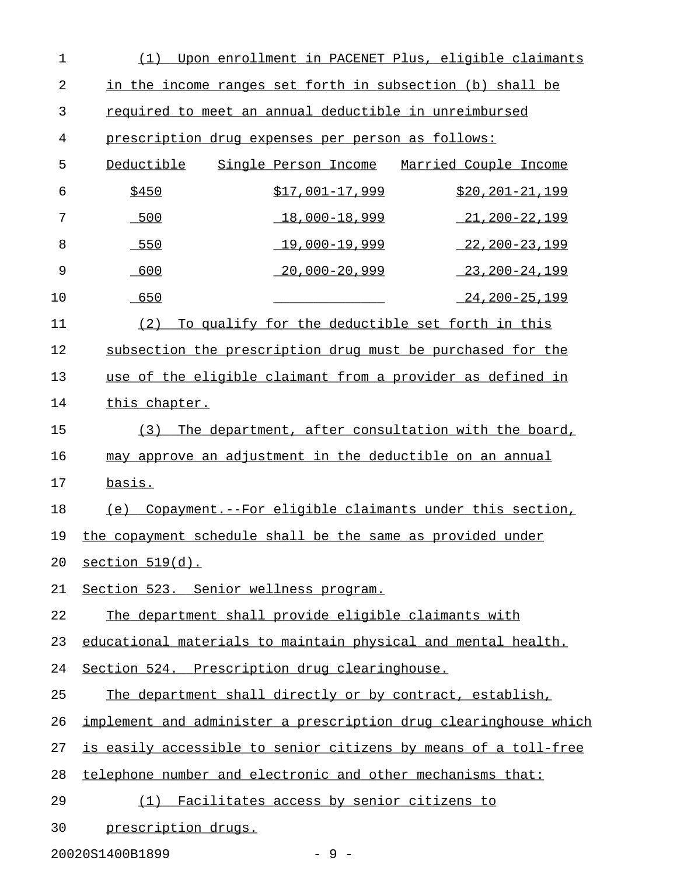| $\mathbf 1$    | Upon enrollment in PACENET Plus, eligible claimants<br>(1)         |
|----------------|--------------------------------------------------------------------|
| $\overline{2}$ | in the income ranges set forth in subsection (b) shall be          |
| 3              | required to meet an annual deductible in unreimbursed              |
| 4              | prescription drug expenses per person as follows:                  |
| 5              | Deductible<br>Single Person Income<br><u>Married Couple Income</u> |
| 6              | \$450<br>$$17,001-17,999$<br>$$20, 201 - 21, 199$                  |
| 7              | $-500$<br>$18,000 - 18,999$<br>$21,200-22,199$                     |
| 8              | $-550$<br><u>19,000–19,999</u><br><u>22,200-23,199</u>             |
| 9              | 600<br>$20,000 - 20,999$<br>$23, 200 - 24, 199$                    |
| 10             | 650<br>$24, 200 - 25, 199$                                         |
| 11             | To qualify for the deductible set forth in this<br>(2)             |
| 12             | subsection the prescription drug must be purchased for the         |
| 13             | use of the eligible claimant from a provider as defined in         |
| 14             | this chapter.                                                      |
| 15             | The department, after consultation with the board,<br>(3)          |
| 16             | may approve an adjustment in the deductible on an annual           |
| 17             | basis.                                                             |
| 18             | Copayment.--For eligible claimants under this section,<br>(e)      |
| 19             | the copayment schedule shall be the same as provided under         |
| 20             | section 519(d).                                                    |
| 21             | Section 523. Senior wellness program.                              |
| 22             | The department shall provide eligible claimants with               |
| 23             | educational materials to maintain physical and mental health.      |
| 24             | Section 524. Prescription drug clearinghouse.                      |
| 25             | The department shall directly or by contract, establish,           |
| 26             | implement and administer a prescription drug clearinghouse which   |
| 27             | is easily accessible to senior citizens by means of a toll-free    |
| 28             | telephone number and electronic and other mechanisms that:         |
| 29             | Facilitates access by senior citizens to<br>(1)                    |
| 30             | prescription drugs.                                                |

20020S1400B1899 - 9 -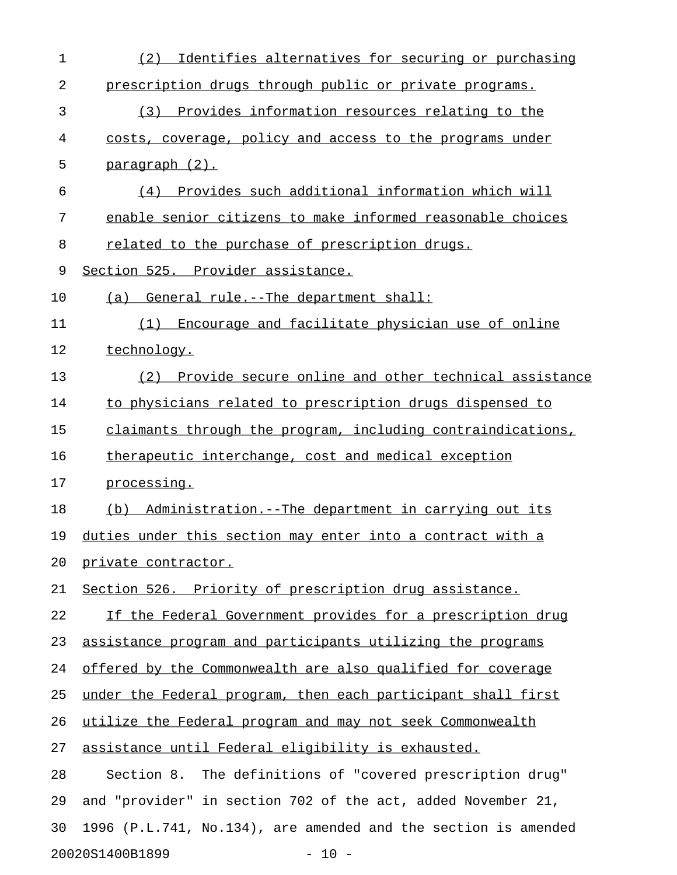| 1  | Identifies alternatives for securing or purchasing<br>(2)      |
|----|----------------------------------------------------------------|
| 2  | prescription drugs through public or private programs.         |
| 3  | (3) Provides information resources relating to the             |
| 4  | costs, coverage, policy and access to the programs under       |
| 5  | <u>paragraph (2).</u>                                          |
| 6  | (4) Provides such additional information which will            |
| 7  | enable senior citizens to make informed reasonable choices     |
| 8  | related to the purchase of prescription drugs.                 |
| 9  | Section 525. Provider assistance.                              |
| 10 | (a) General rule.--The department shall:                       |
| 11 | Encourage and facilitate physician use of online<br>(1)        |
| 12 | technology.                                                    |
| 13 | (2) Provide secure online and other technical assistance       |
| 14 | to physicians related to prescription drugs dispensed to       |
| 15 | claimants through the program, including contraindications,    |
| 16 | therapeutic interchange, cost and medical exception            |
| 17 | processing.                                                    |
| 18 | (b) Administration.--The department in carrying out its        |
| 19 | duties under this section may enter into a contract with a     |
| 20 | <u>private contractor.</u>                                     |
| 21 | Section 526. Priority of prescription drug assistance.         |
| 22 | If the Federal Government provides for a prescription drug     |
| 23 | assistance program and participants utilizing the programs     |
| 24 | offered by the Commonwealth are also qualified for coverage    |
| 25 | under the Federal program, then each participant shall first   |
| 26 | utilize the Federal program and may not seek Commonwealth      |
| 27 | assistance until Federal eligibility is exhausted.             |
| 28 | The definitions of "covered prescription drug"<br>Section 8.   |
| 29 | and "provider" in section 702 of the act, added November 21,   |
| 30 | 1996 (P.L.741, No.134), are amended and the section is amended |
|    | 20020S1400B1899<br>$-10 -$                                     |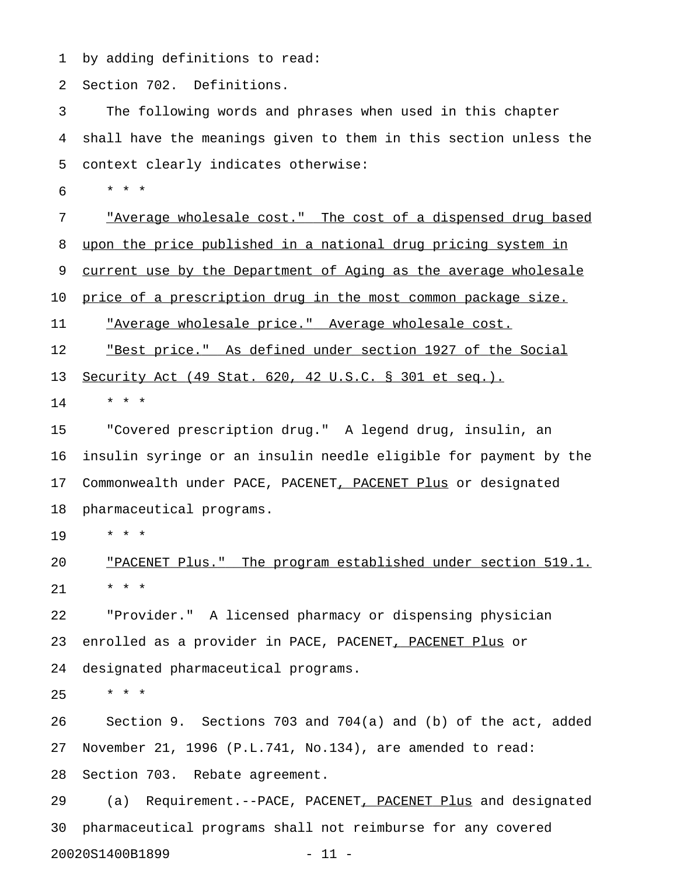1 by adding definitions to read:

2 Section 702. Definitions.

3 The following words and phrases when used in this chapter 4 shall have the meanings given to them in this section unless the 5 context clearly indicates otherwise:

6 \* \* \*

7 "Average wholesale cost." The cost of a dispensed drug based 8 upon the price published in a national drug pricing system in 9 current use by the Department of Aging as the average wholesale

10 price of a prescription drug in the most common package size.

11 "Average wholesale price." Average wholesale cost.

12 The <u>"Best price."</u> As defined under section 1927 of the Social

13 <u>Security Act (49 Stat. 620, 42 U.S.C. § 301 et seq.).</u>

 $14$  \* \* \*

15 "Covered prescription drug." A legend drug, insulin, an 16 insulin syringe or an insulin needle eligible for payment by the 17 Commonwealth under PACE, PACENET, PACENET Plus or designated 18 pharmaceutical programs.

19 \* \* \*

20 TPACENET Plus." The program established under section 519.1. 21 \* \* \*

22 "Provider." A licensed pharmacy or dispensing physician 23 enrolled as a provider in PACE, PACENET<u>, PACENET Plus</u> or 24 designated pharmaceutical programs.

 $25 + * * *$ 

26 Section 9. Sections 703 and 704(a) and (b) of the act, added 27 November 21, 1996 (P.L.741, No.134), are amended to read: 28 Section 703. Rebate agreement.

29 (a) Requirement.--PACE, PACENET, PACENET Plus and designated 30 pharmaceutical programs shall not reimburse for any covered 20020S1400B1899 - 11 -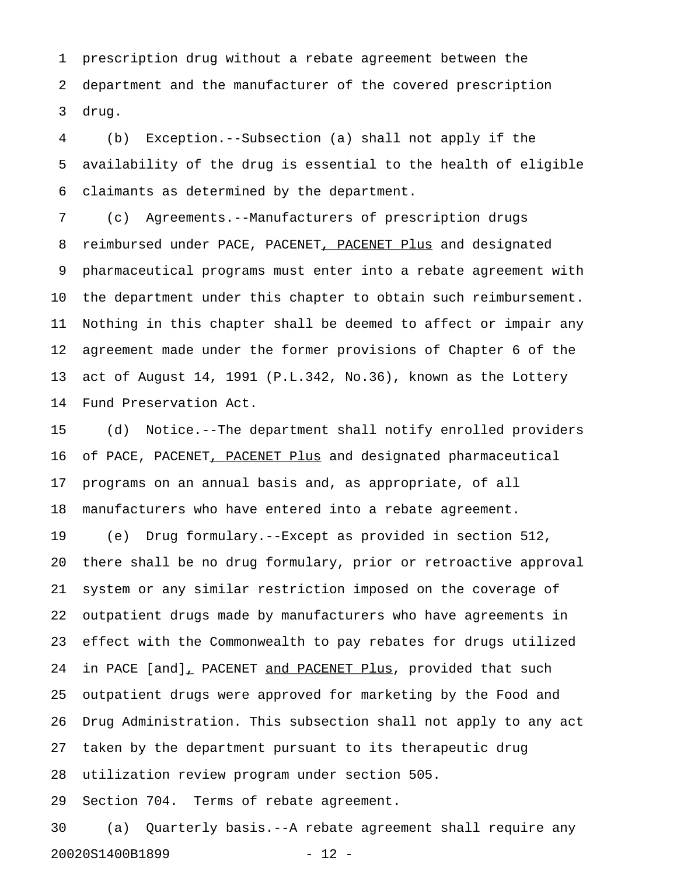1 prescription drug without a rebate agreement between the 2 department and the manufacturer of the covered prescription 3 drug.

4 (b) Exception.--Subsection (a) shall not apply if the 5 availability of the drug is essential to the health of eligible 6 claimants as determined by the department.

7 (c) Agreements.--Manufacturers of prescription drugs 8 reimbursed under PACE, PACENET, PACENET Plus and designated 9 pharmaceutical programs must enter into a rebate agreement with 10 the department under this chapter to obtain such reimbursement. 11 Nothing in this chapter shall be deemed to affect or impair any 12 agreement made under the former provisions of Chapter 6 of the 13 act of August 14, 1991 (P.L.342, No.36), known as the Lottery 14 Fund Preservation Act.

15 (d) Notice.--The department shall notify enrolled providers 16 of PACE, PACENET, PACENET Plus and designated pharmaceutical 17 programs on an annual basis and, as appropriate, of all 18 manufacturers who have entered into a rebate agreement.

19 (e) Drug formulary.--Except as provided in section 512, 20 there shall be no drug formulary, prior or retroactive approval 21 system or any similar restriction imposed on the coverage of 22 outpatient drugs made by manufacturers who have agreements in 23 effect with the Commonwealth to pay rebates for drugs utilized 24 in PACE [and], PACENET and PACENET Plus, provided that such 25 outpatient drugs were approved for marketing by the Food and 26 Drug Administration. This subsection shall not apply to any act 27 taken by the department pursuant to its therapeutic drug 28 utilization review program under section 505.

29 Section 704. Terms of rebate agreement.

30 (a) Quarterly basis.--A rebate agreement shall require any 20020S1400B1899 - 12 -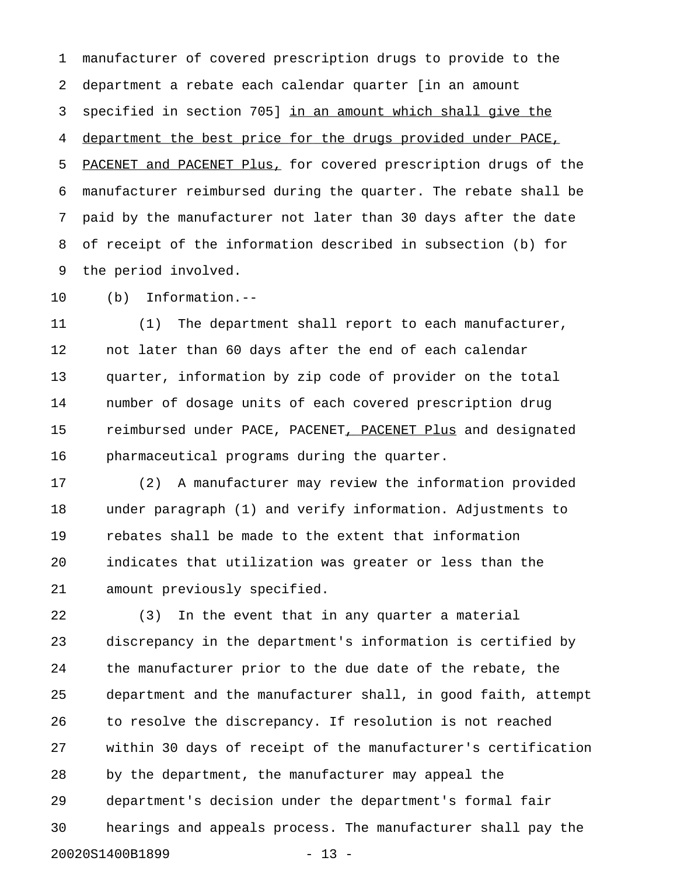1 manufacturer of covered prescription drugs to provide to the 2 department a rebate each calendar quarter [in an amount 3 specified in section 705] in an amount which shall give the 4 department the best price for the drugs provided under PACE, 5 PACENET and PACENET Plus, for covered prescription drugs of the 6 manufacturer reimbursed during the quarter. The rebate shall be 7 paid by the manufacturer not later than 30 days after the date 8 of receipt of the information described in subsection (b) for 9 the period involved.

10 (b) Information.--

11 (1) The department shall report to each manufacturer, 12 not later than 60 days after the end of each calendar 13 quarter, information by zip code of provider on the total 14 number of dosage units of each covered prescription drug 15 reimbursed under PACE, PACENET, PACENET Plus and designated 16 pharmaceutical programs during the quarter.

17 (2) A manufacturer may review the information provided 18 under paragraph (1) and verify information. Adjustments to 19 rebates shall be made to the extent that information 20 indicates that utilization was greater or less than the 21 amount previously specified.

22 (3) In the event that in any quarter a material 23 discrepancy in the department's information is certified by 24 the manufacturer prior to the due date of the rebate, the 25 department and the manufacturer shall, in good faith, attempt 26 to resolve the discrepancy. If resolution is not reached 27 within 30 days of receipt of the manufacturer's certification 28 by the department, the manufacturer may appeal the 29 department's decision under the department's formal fair 30 hearings and appeals process. The manufacturer shall pay the 20020S1400B1899 - 13 -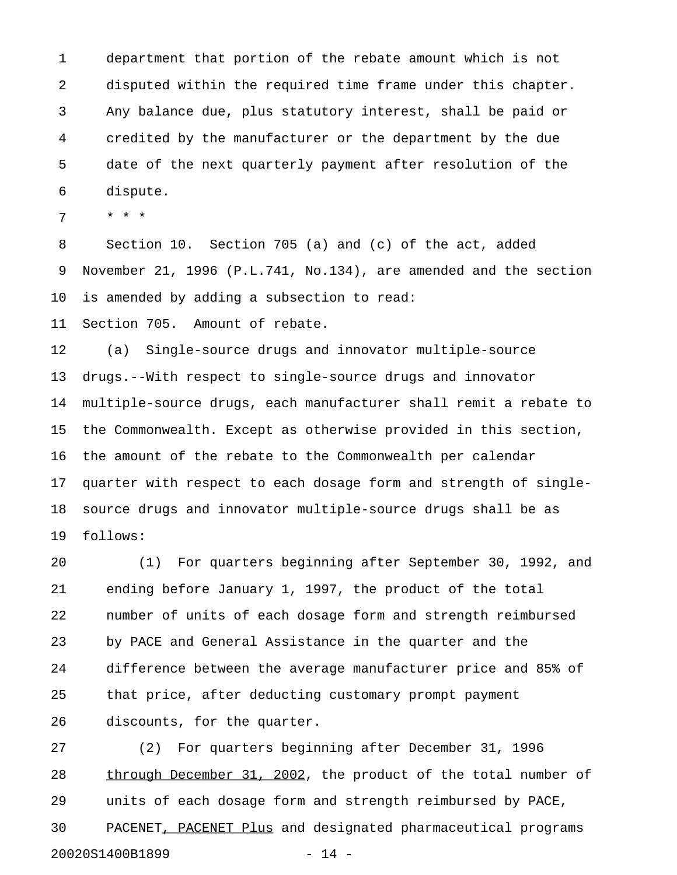1 department that portion of the rebate amount which is not 2 disputed within the required time frame under this chapter. 3 Any balance due, plus statutory interest, shall be paid or 4 credited by the manufacturer or the department by the due 5 date of the next quarterly payment after resolution of the 6 dispute.

7 \* \* \*

8 Section 10. Section 705 (a) and (c) of the act, added 9 November 21, 1996 (P.L.741, No.134), are amended and the section 10 is amended by adding a subsection to read:

11 Section 705. Amount of rebate.

12 (a) Single-source drugs and innovator multiple-source 13 drugs.--With respect to single-source drugs and innovator 14 multiple-source drugs, each manufacturer shall remit a rebate to 15 the Commonwealth. Except as otherwise provided in this section, 16 the amount of the rebate to the Commonwealth per calendar 17 quarter with respect to each dosage form and strength of single-18 source drugs and innovator multiple-source drugs shall be as 19 follows:

20 (1) For quarters beginning after September 30, 1992, and 21 ending before January 1, 1997, the product of the total 22 number of units of each dosage form and strength reimbursed 23 by PACE and General Assistance in the quarter and the 24 difference between the average manufacturer price and 85% of 25 that price, after deducting customary prompt payment 26 discounts, for the quarter.

27 (2) For quarters beginning after December 31, 1996 28 through December 31, 2002, the product of the total number of 29 units of each dosage form and strength reimbursed by PACE, 30 PACENET, PACENET Plus and designated pharmaceutical programs 20020S1400B1899 - 14 -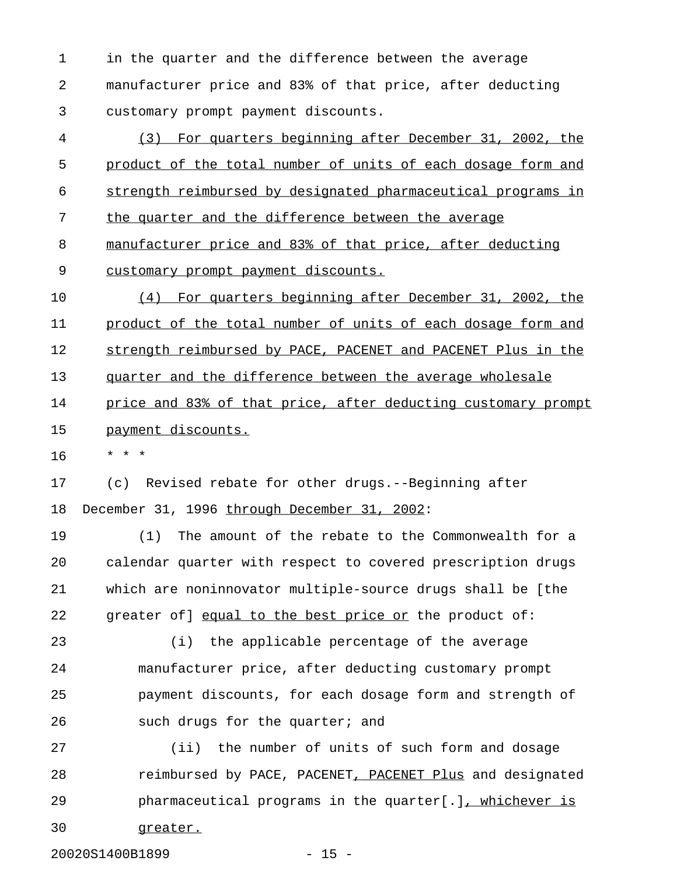1 in the quarter and the difference between the average 2 manufacturer price and 83% of that price, after deducting 3 customary prompt payment discounts.

4 (3) For quarters beginning after December 31, 2002, the 5 product of the total number of units of each dosage form and 6 strength reimbursed by designated pharmaceutical programs in 7 the quarter and the difference between the average 8 manufacturer price and 83% of that price, after deducting 9 customary prompt payment discounts.

10 (4) For quarters beginning after December 31, 2002, the 11 product of the total number of units of each dosage form and 12 strength reimbursed by PACE, PACENET and PACENET Plus in the 13 quarter and the difference between the average wholesale 14 price and 83% of that price, after deducting customary prompt 15 payment discounts.

16 \* \* \*

17 (c) Revised rebate for other drugs.--Beginning after 18 December 31, 1996 through December 31, 2002:

19 (1) The amount of the rebate to the Commonwealth for a 20 calendar quarter with respect to covered prescription drugs 21 which are noninnovator multiple-source drugs shall be [the 22 greater of ] equal to the best price or the product of:

23 (i) the applicable percentage of the average 24 manufacturer price, after deducting customary prompt 25 payment discounts, for each dosage form and strength of 26 such drugs for the quarter; and

27 (ii) the number of units of such form and dosage 28 reimbursed by PACE, PACENET, PACENET Plus and designated 29 pharmaceutical programs in the quarter[.], whichever is 30 greater.

20020S1400B1899 - 15 -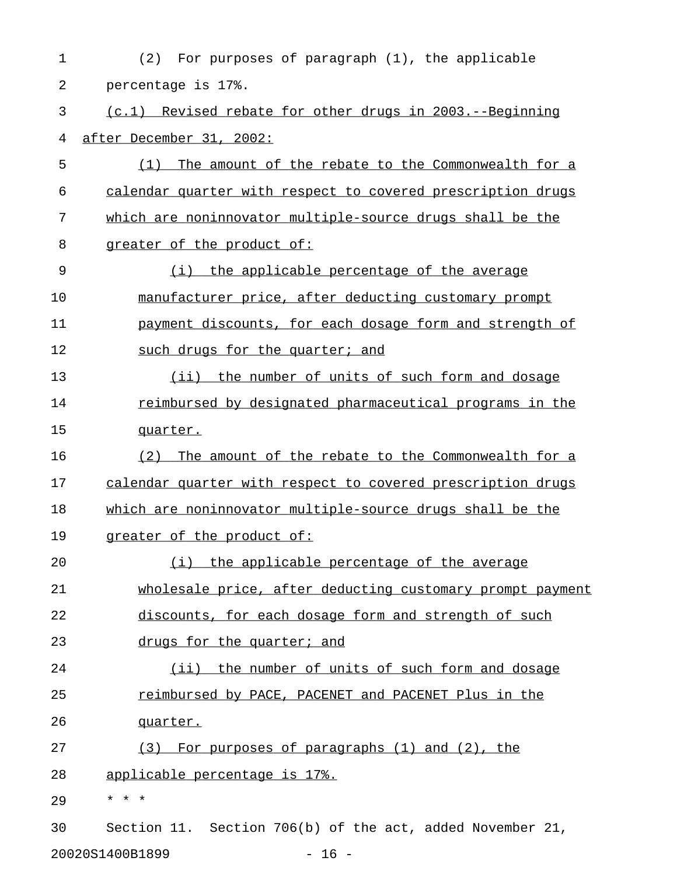| $\mathbf 1$ | For purposes of paragraph (1), the applicable<br>(2)        |
|-------------|-------------------------------------------------------------|
| 2           | percentage is 17%.                                          |
| 3           | (c.1) Revised rebate for other drugs in 2003.--Beginning    |
| 4           | after December 31, 2002:                                    |
| 5           | The amount of the rebate to the Commonwealth for a<br>(1)   |
| 6           | calendar quarter with respect to covered prescription drugs |
| 7           | which are noninnovator multiple-source drugs shall be the   |
| 8           | greater of the product of:                                  |
| 9           | (i) the applicable percentage of the average                |
| 10          | manufacturer price, after deducting customary prompt        |
| 11          | payment discounts, for each dosage form and strength of     |
| 12          | such drugs for the quarter; and                             |
| 13          | (ii) the number of units of such form and dosage            |
| 14          | reimbursed by designated pharmaceutical programs in the     |
| 15          | quarter.                                                    |
| 16          | (2)<br>The amount of the rebate to the Commonwealth for a   |
| 17          | calendar quarter with respect to covered prescription drugs |
| 18          | which are noninnovator multiple-source drugs shall be the   |
| 19          | greater of the product of:                                  |
| 20          | (i) the applicable percentage of the average                |
| 21          | wholesale price, after deducting customary prompt payment   |
| 22          | discounts, for each dosage form and strength of such        |
| 23          | drugs for the quarter; and                                  |
| 24          | (ii) the number of units of such form and dosage            |
| 25          | reimbursed by PACE, PACENET and PACENET Plus in the         |
| 26          | quarter.                                                    |
| 27          | (3) For purposes of paragraphs (1) and (2), the             |
| 28          | <u>applicable percentage is 17%.</u>                        |
| 29          | * * *                                                       |
| 30          | Section 11. Section 706(b) of the act, added November 21,   |
|             | 20020S1400B1899<br>$-16 -$                                  |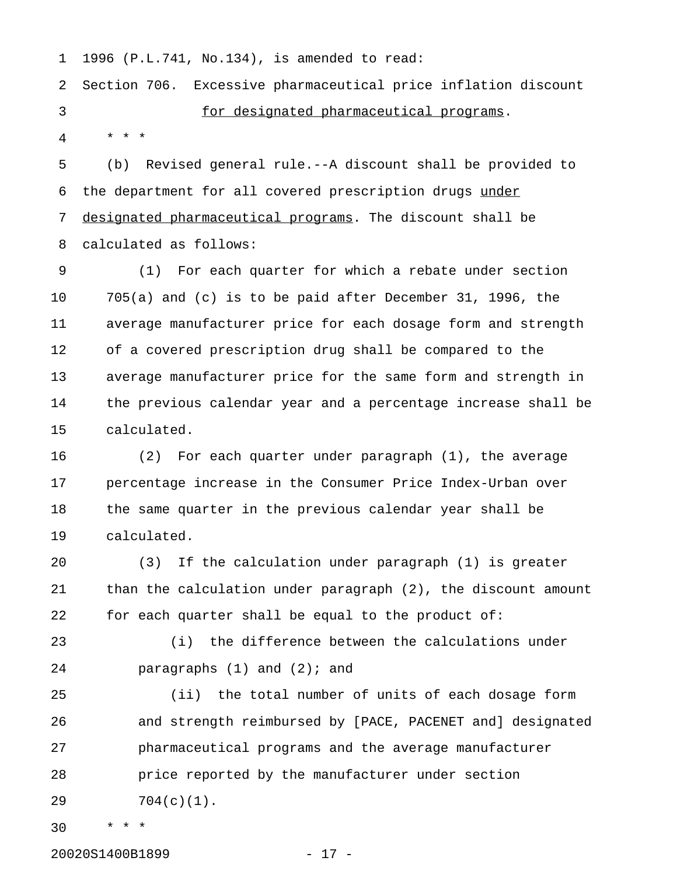1 1996 (P.L.741, No.134), is amended to read:

2 Section 706. Excessive pharmaceutical price inflation discount 3 for designated pharmaceutical programs. 4 \* \* \*

5 (b) Revised general rule.--A discount shall be provided to 6 the department for all covered prescription drugs under 7 designated pharmaceutical programs. The discount shall be 8 calculated as follows:

9 (1) For each quarter for which a rebate under section 10 705(a) and (c) is to be paid after December 31, 1996, the 11 average manufacturer price for each dosage form and strength 12 of a covered prescription drug shall be compared to the 13 average manufacturer price for the same form and strength in 14 the previous calendar year and a percentage increase shall be 15 calculated.

16 (2) For each quarter under paragraph (1), the average 17 percentage increase in the Consumer Price Index-Urban over 18 the same quarter in the previous calendar year shall be 19 calculated.

20 (3) If the calculation under paragraph (1) is greater 21 than the calculation under paragraph (2), the discount amount 22 for each quarter shall be equal to the product of:

23 (i) the difference between the calculations under 24 paragraphs (1) and (2); and

25 (ii) the total number of units of each dosage form 26 and strength reimbursed by [PACE, PACENET and] designated 27 pharmaceutical programs and the average manufacturer 28 price reported by the manufacturer under section 29 704(c)(1).

30 \* \* \*

20020S1400B1899 - 17 -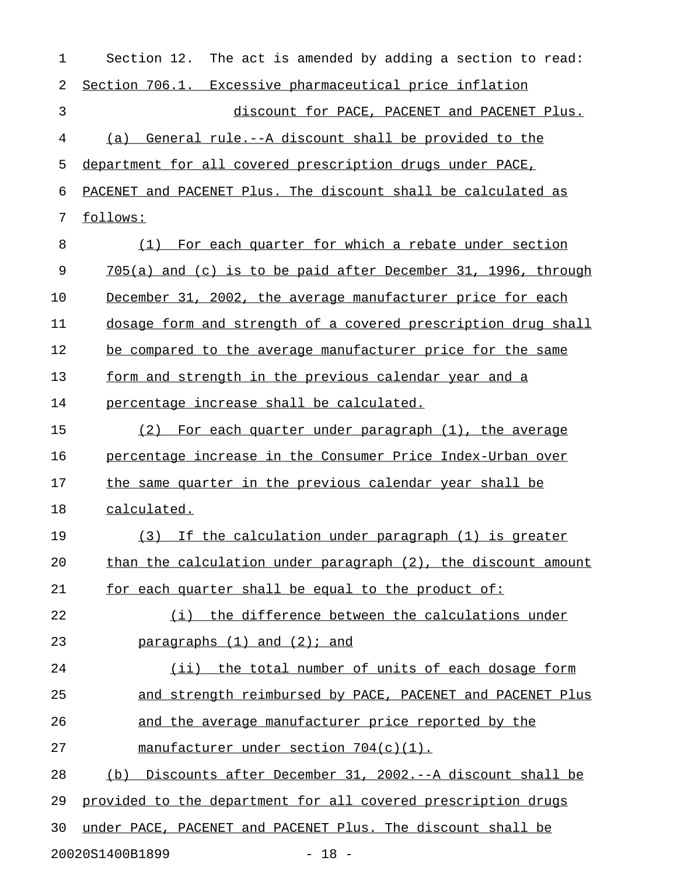| 1  | Section 12. The act is amended by adding a section to read:      |
|----|------------------------------------------------------------------|
| 2  | Section 706.1. Excessive pharmaceutical price inflation          |
| 3  | discount for PACE, PACENET and PACENET Plus.                     |
| 4  | General rule.--A discount shall be provided to the<br>(a)        |
| 5  | department for all covered prescription drugs under PACE,        |
| 6  | PACENET and PACENET Plus. The discount shall be calculated as    |
| 7  | follows:                                                         |
| 8  | For each quarter for which a rebate under section<br>(1)         |
| 9  | $705(a)$ and (c) is to be paid after December 31, 1996, through  |
| 10 | December 31, 2002, the average manufacturer price for each       |
| 11 | dosage form and strength of a covered prescription drug shall    |
| 12 | be compared to the average manufacturer price for the same       |
| 13 | form and strength in the previous calendar year and a            |
| 14 | percentage increase shall be calculated.                         |
| 15 | For each quarter under paragraph (1), the average<br>(2)         |
| 16 | percentage increase in the Consumer Price Index-Urban over       |
| 17 | the same quarter in the previous calendar year shall be          |
| 18 | calculated.                                                      |
| 19 | (3) If the calculation under paragraph (1) is greater            |
| 20 | than the calculation under paragraph $(2)$ , the discount amount |
| 21 | for each quarter shall be equal to the product of:               |
| 22 | (i) the difference between the calculations under                |
| 23 | $\frac{5}{2}$ paragraphs $(1)$ and $(2)$ ; and                   |
| 24 | (ii) the total number of units of each dosage form               |
| 25 | and strength reimbursed by PACE, PACENET and PACENET Plus        |
| 26 | and the average manufacturer price reported by the               |
| 27 | manufacturer under section 704(c)(1).                            |
| 28 | Discounts after December 31, 2002.--A discount shall be<br>(b)   |
| 29 | provided to the department for all covered prescription drugs    |
| 30 | under PACE, PACENET and PACENET Plus. The discount shall be      |
|    |                                                                  |

20020S1400B1899 - 18 -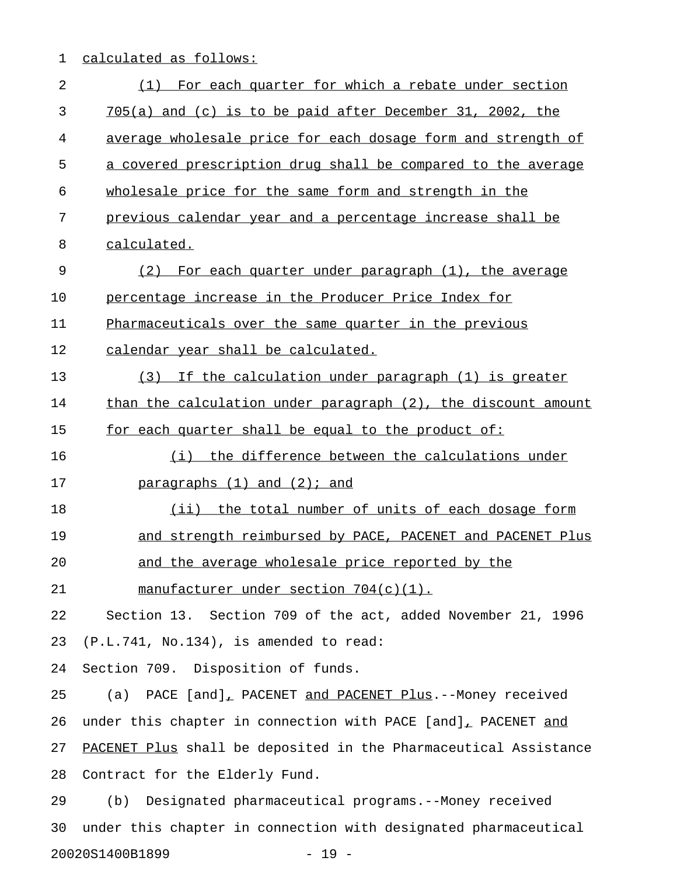## 1 calculated as follows:

| 2  | For each quarter for which a rebate under section<br>(1)         |
|----|------------------------------------------------------------------|
| 3  | $705(a)$ and (c) is to be paid after December 31, 2002, the      |
| 4  | average wholesale price for each dosage form and strength of     |
| 5  | a covered prescription drug shall be compared to the average     |
| 6  | wholesale price for the same form and strength in the            |
| 7  | previous calendar year and a percentage increase shall be        |
| 8  | calculated.                                                      |
| 9  | For each quarter under paragraph (1), the average<br>(2)         |
| 10 | percentage increase in the Producer Price Index for              |
| 11 | Pharmaceuticals over the same quarter in the previous            |
| 12 | calendar year shall be calculated.                               |
| 13 | (3)<br>If the calculation under paragraph (1) is greater         |
| 14 | than the calculation under paragraph (2), the discount amount    |
| 15 | for each quarter shall be equal to the product of:               |
| 16 | (i) the difference between the calculations under                |
| 17 | $\frac{5}{2}$ paragraphs $(1)$ and $(2)$ ; and                   |
| 18 | (ii) the total number of units of each dosage form               |
| 19 | and strength reimbursed by PACE, PACENET and PACENET Plus        |
| 20 | and the average wholesale price reported by the                  |
| 21 | manufacturer under section 704(c)(1).                            |
| 22 | Section 13. Section 709 of the act, added November 21, 1996      |
| 23 | $(P.L.741, No.134)$ , is amended to read:                        |
| 24 | Section 709. Disposition of funds.                               |
| 25 | (a) PACE [and], PACENET and PACENET Plus.--Money received        |
| 26 | under this chapter in connection with PACE [and], PACENET and    |
| 27 | PACENET Plus shall be deposited in the Pharmaceutical Assistance |
| 28 | Contract for the Elderly Fund.                                   |
| 29 | Designated pharmaceutical programs.--Money received<br>(b)       |
| 30 | under this chapter in connection with designated pharmaceutical  |
|    | 20020S1400B1899<br>$-19 -$                                       |